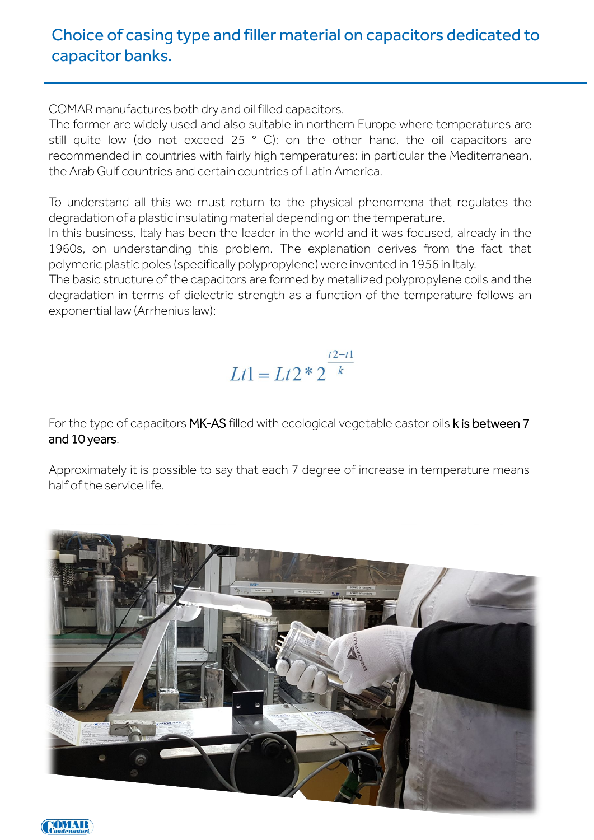## Choice of casing type and filler material on capacitors dedicated to capacitor banks.

COMAR manufactures both dry and oil filled capacitors.

The former are widely used and also suitable in northern Europe where temperatures are still quite low (do not exceed 25 ° C); on the other hand, the oil capacitors are recommended in countries with fairly high temperatures: in particular the Mediterranean, the Arab Gulf countries and certain countries of Latin America.

To understand all this we must return to the physical phenomena that regulates the degradation of a plastic insulating material depending on the temperature.

In this business, Italy has been the leader in the world and it was focused, already in the 1960s, on understanding this problem. The explanation derives from the fact that polymeric plastic poles (specifically polypropylene) were invented in 1956 in Italy.

The basic structure of the capacitors are formed by metallized polypropylene coils and the degradation in terms of dielectric strength as a function of the temperature follows an exponential law (Arrhenius law):

## $Lt1 = Lt2 * 2^{\frac{t2-t1}{k}}$

For the type of capacitors MK-AS filled with ecological vegetable castor oils k is between 7 and 10 years.

Approximately it is possible to say that each 7 degree of increase in temperature means half of the service life.